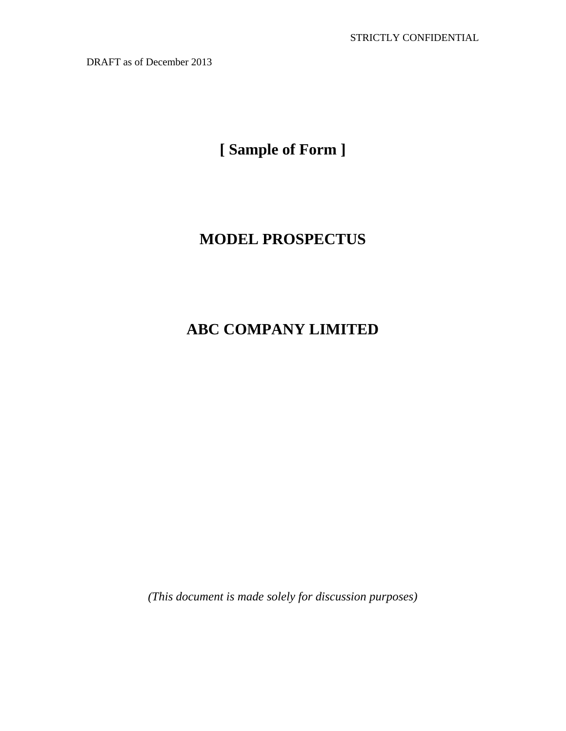**[ Sample of Form ]** 

# **MODEL PROSPECTUS**

# **ABC COMPANY LIMITED**

*(This document is made solely for discussion purposes)*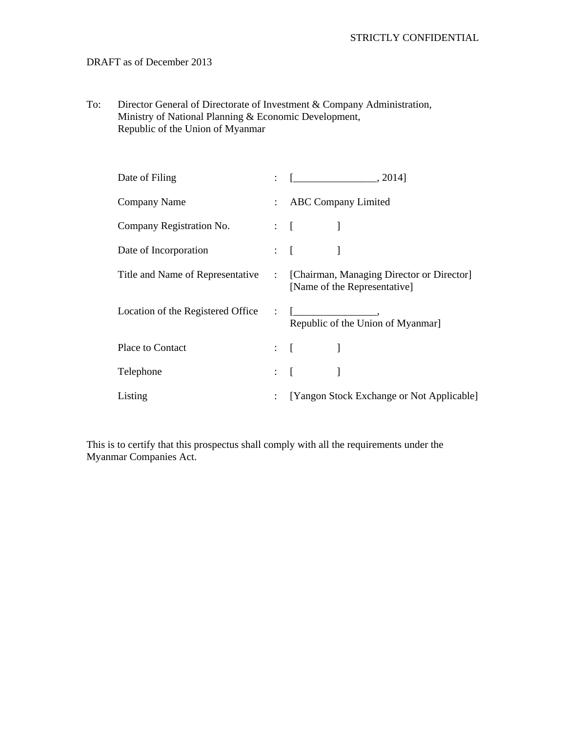To: Director General of Directorate of Investment & Company Administration, Ministry of National Planning & Economic Development, Republic of the Union of Myanmar

| Date of Filing                    |                                                                                        |
|-----------------------------------|----------------------------------------------------------------------------------------|
| Company Name                      | : ABC Company Limited                                                                  |
| Company Registration No.          | $\mathbf{1}$ :                                                                         |
| Date of Incorporation             | $\mathbf{E} = \begin{bmatrix} 1 & 1 & 1 \\ 1 & 1 & 1 \end{bmatrix}$                    |
| Title and Name of Representative  | : [Chairman, Managing Director or Director]<br>[Name of the Representative]            |
| Location of the Registered Office | Republic of the Union of Myanmar]                                                      |
| Place to Contact                  | $\mathcal{L} = \left\{ \begin{array}{ccc} 0 & 0 & 0 \\ 0 & 0 & 0 \end{array} \right\}$ |
| Telephone                         | $\mathbf{H} = \begin{bmatrix} 1 & 1 & 1 \\ 1 & 1 & 1 \end{bmatrix}$                    |
| Listing                           | [Yangon Stock Exchange or Not Applicable]                                              |

This is to certify that this prospectus shall comply with all the requirements under the Myanmar Companies Act.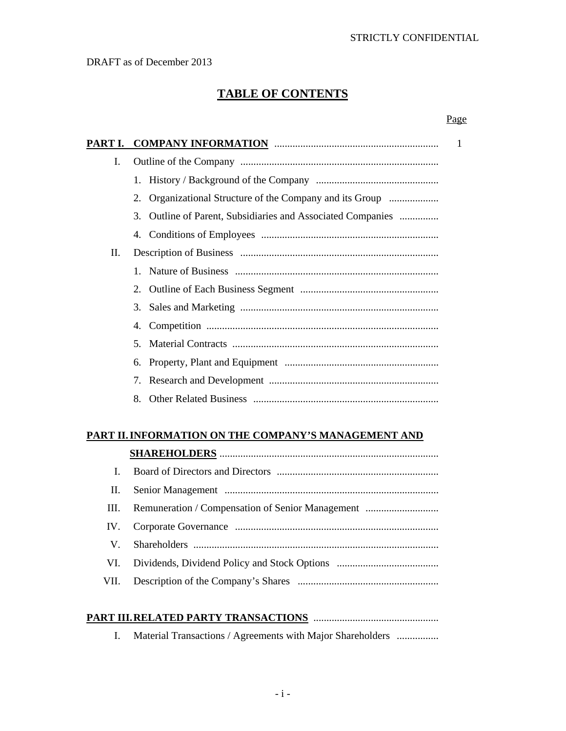Page

# **TABLE OF CONTENTS**

| PART I. | <b>COMPANY INFORMATION MANUSCONSISTENT COMPANY INFORMATION</b> | 1 |
|---------|----------------------------------------------------------------|---|
| I.      |                                                                |   |
|         |                                                                |   |
|         | 2.                                                             |   |
|         | 3.<br>Outline of Parent, Subsidiaries and Associated Companies |   |
|         |                                                                |   |
| П.      |                                                                |   |
|         |                                                                |   |
|         |                                                                |   |
|         |                                                                |   |
|         | 4.                                                             |   |
|         | 5.                                                             |   |
|         |                                                                |   |
|         | 7.                                                             |   |
|         | 8.                                                             |   |

# **PART II. INFORMATION ON THE COMPANY'S MANAGEMENT AND**

| L    |                                                       |
|------|-------------------------------------------------------|
| Н.   |                                                       |
|      | III. Remuneration / Compensation of Senior Management |
|      |                                                       |
|      |                                                       |
| VI.  |                                                       |
| VII. |                                                       |

# **PART III. RELATED PARTY TRANSACTIONS** ................................................

I. Material Transactions / Agreements with Major Shareholders ................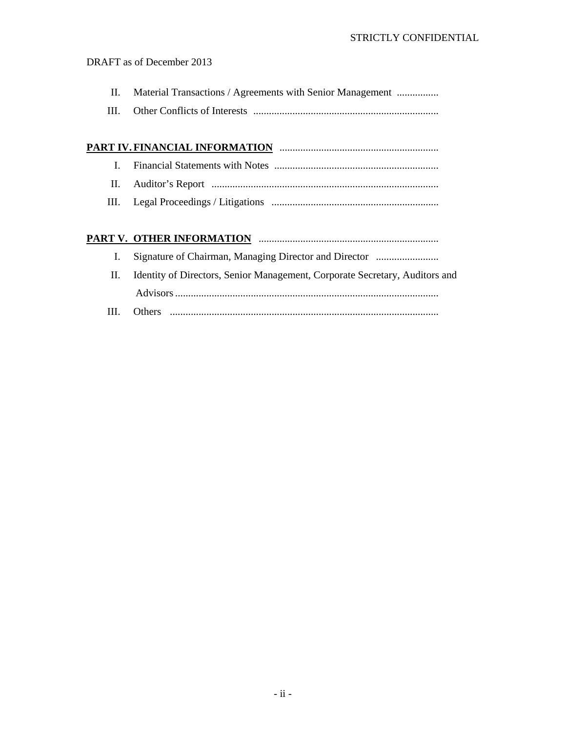- II. Material Transactions / Agreements with Senior Management ................
- III. Other Conflicts of Interests .......................................................................

# **PART IV. FINANCIAL INFORMATION** .............................................................

- I. Financial Statements with Notes ...............................................................
- II. Auditor's Report .......................................................................................
- III. Legal Proceedings / Litigations ................................................................

# **PART V. OTHER INFORMATION** .....................................................................

- I. Signature of Chairman, Managing Director and Director ........................
- II. Identity of Directors, Senior Management, Corporate Secretary, Auditors and Advisors .....................................................................................................
- III. Others .......................................................................................................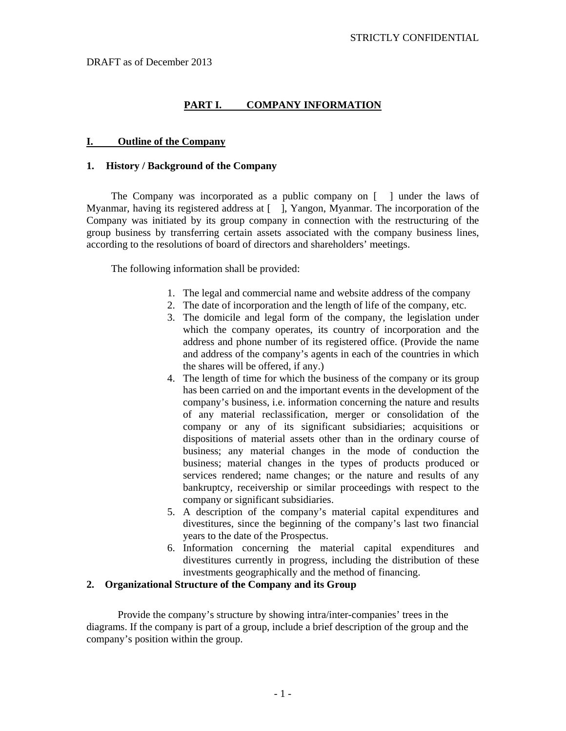# **PART I. COMPANY INFORMATION**

#### **I. Outline of the Company**

#### **1. History / Background of the Company**

 The Company was incorporated as a public company on [ ] under the laws of Myanmar, having its registered address at [ ], Yangon, Myanmar. The incorporation of the Company was initiated by its group company in connection with the restructuring of the group business by transferring certain assets associated with the company business lines, according to the resolutions of board of directors and shareholders' meetings.

The following information shall be provided:

- 1. The legal and commercial name and website address of the company
- 2. The date of incorporation and the length of life of the company, etc.
- 3. The domicile and legal form of the company, the legislation under which the company operates, its country of incorporation and the address and phone number of its registered office. (Provide the name and address of the company's agents in each of the countries in which the shares will be offered, if any.)
- 4. The length of time for which the business of the company or its group has been carried on and the important events in the development of the company's business, i.e. information concerning the nature and results of any material reclassification, merger or consolidation of the company or any of its significant subsidiaries; acquisitions or dispositions of material assets other than in the ordinary course of business; any material changes in the mode of conduction the business; material changes in the types of products produced or services rendered; name changes; or the nature and results of any bankruptcy, receivership or similar proceedings with respect to the company or significant subsidiaries.
- 5. A description of the company's material capital expenditures and divestitures, since the beginning of the company's last two financial years to the date of the Prospectus.
- 6. Information concerning the material capital expenditures and divestitures currently in progress, including the distribution of these investments geographically and the method of financing.

#### **2. Organizational Structure of the Company and its Group**

Provide the company's structure by showing intra/inter-companies' trees in the diagrams. If the company is part of a group, include a brief description of the group and the company's position within the group.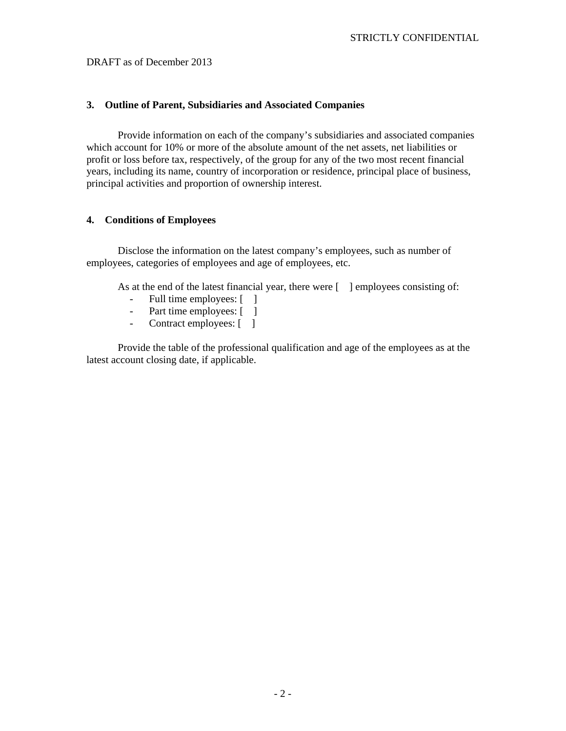# **3. Outline of Parent, Subsidiaries and Associated Companies**

Provide information on each of the company's subsidiaries and associated companies which account for 10% or more of the absolute amount of the net assets, net liabilities or profit or loss before tax, respectively, of the group for any of the two most recent financial years, including its name, country of incorporation or residence, principal place of business, principal activities and proportion of ownership interest.

# **4. Conditions of Employees**

Disclose the information on the latest company's employees, such as number of employees, categories of employees and age of employees, etc.

As at the end of the latest financial year, there were  $\lceil \cdot \rceil$  employees consisting of:

- Full time employees: [ ]
- Part time employees: [ ]
- Contract employees: [ ]

Provide the table of the professional qualification and age of the employees as at the latest account closing date, if applicable.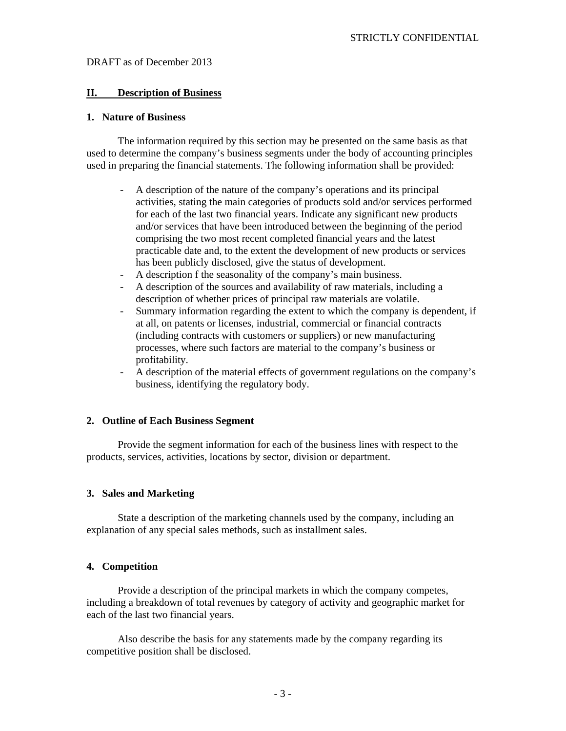#### **II. Description of Business**

#### **1. Nature of Business**

The information required by this section may be presented on the same basis as that used to determine the company's business segments under the body of accounting principles used in preparing the financial statements. The following information shall be provided:

- A description of the nature of the company's operations and its principal activities, stating the main categories of products sold and/or services performed for each of the last two financial years. Indicate any significant new products and/or services that have been introduced between the beginning of the period comprising the two most recent completed financial years and the latest practicable date and, to the extent the development of new products or services has been publicly disclosed, give the status of development.
- A description f the seasonality of the company's main business.
- A description of the sources and availability of raw materials, including a description of whether prices of principal raw materials are volatile.
- Summary information regarding the extent to which the company is dependent, if at all, on patents or licenses, industrial, commercial or financial contracts (including contracts with customers or suppliers) or new manufacturing processes, where such factors are material to the company's business or profitability.
- A description of the material effects of government regulations on the company's business, identifying the regulatory body.

# **2. Outline of Each Business Segment**

Provide the segment information for each of the business lines with respect to the products, services, activities, locations by sector, division or department.

#### **3. Sales and Marketing**

State a description of the marketing channels used by the company, including an explanation of any special sales methods, such as installment sales.

#### **4. Competition**

Provide a description of the principal markets in which the company competes, including a breakdown of total revenues by category of activity and geographic market for each of the last two financial years.

 Also describe the basis for any statements made by the company regarding its competitive position shall be disclosed.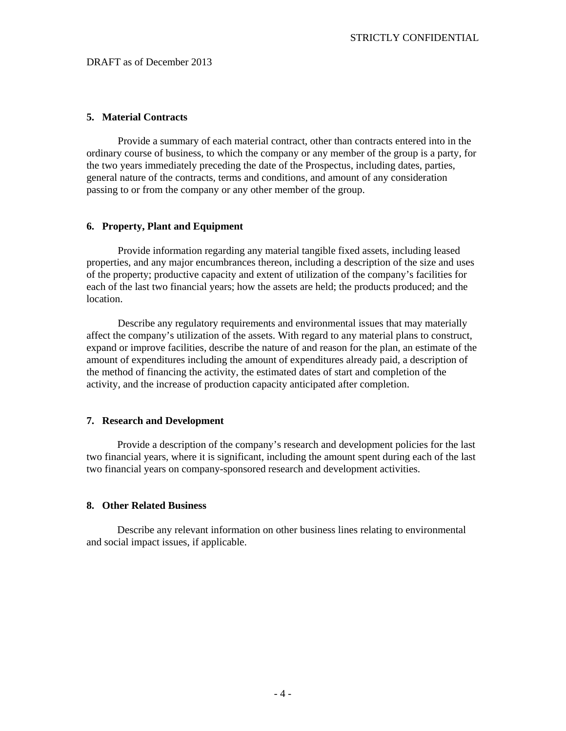#### **5. Material Contracts**

Provide a summary of each material contract, other than contracts entered into in the ordinary course of business, to which the company or any member of the group is a party, for the two years immediately preceding the date of the Prospectus, including dates, parties, general nature of the contracts, terms and conditions, and amount of any consideration passing to or from the company or any other member of the group.

#### **6. Property, Plant and Equipment**

Provide information regarding any material tangible fixed assets, including leased properties, and any major encumbrances thereon, including a description of the size and uses of the property; productive capacity and extent of utilization of the company's facilities for each of the last two financial years; how the assets are held; the products produced; and the location.

Describe any regulatory requirements and environmental issues that may materially affect the company's utilization of the assets. With regard to any material plans to construct, expand or improve facilities, describe the nature of and reason for the plan, an estimate of the amount of expenditures including the amount of expenditures already paid, a description of the method of financing the activity, the estimated dates of start and completion of the activity, and the increase of production capacity anticipated after completion.

#### **7. Research and Development**

Provide a description of the company's research and development policies for the last two financial years, where it is significant, including the amount spent during each of the last two financial years on company-sponsored research and development activities.

#### **8. Other Related Business**

Describe any relevant information on other business lines relating to environmental and social impact issues, if applicable.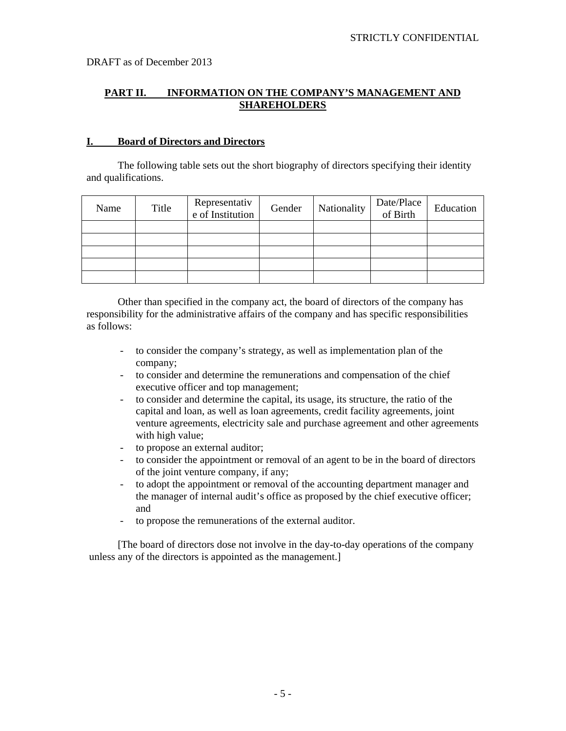# **PART II. INFORMATION ON THE COMPANY'S MANAGEMENT AND SHAREHOLDERS**

### **I. Board of Directors and Directors**

 The following table sets out the short biography of directors specifying their identity and qualifications.

| Name | Title | Representativ<br>e of Institution | Gender | Nationality | Date/Place<br>of Birth | Education |
|------|-------|-----------------------------------|--------|-------------|------------------------|-----------|
|      |       |                                   |        |             |                        |           |
|      |       |                                   |        |             |                        |           |
|      |       |                                   |        |             |                        |           |
|      |       |                                   |        |             |                        |           |
|      |       |                                   |        |             |                        |           |

Other than specified in the company act, the board of directors of the company has responsibility for the administrative affairs of the company and has specific responsibilities as follows:

- to consider the company's strategy, as well as implementation plan of the company;
- to consider and determine the remunerations and compensation of the chief executive officer and top management;
- to consider and determine the capital, its usage, its structure, the ratio of the capital and loan, as well as loan agreements, credit facility agreements, joint venture agreements, electricity sale and purchase agreement and other agreements with high value;
- to propose an external auditor;
- to consider the appointment or removal of an agent to be in the board of directors of the joint venture company, if any;
- to adopt the appointment or removal of the accounting department manager and the manager of internal audit's office as proposed by the chief executive officer; and
- to propose the remunerations of the external auditor.

[The board of directors dose not involve in the day-to-day operations of the company unless any of the directors is appointed as the management.]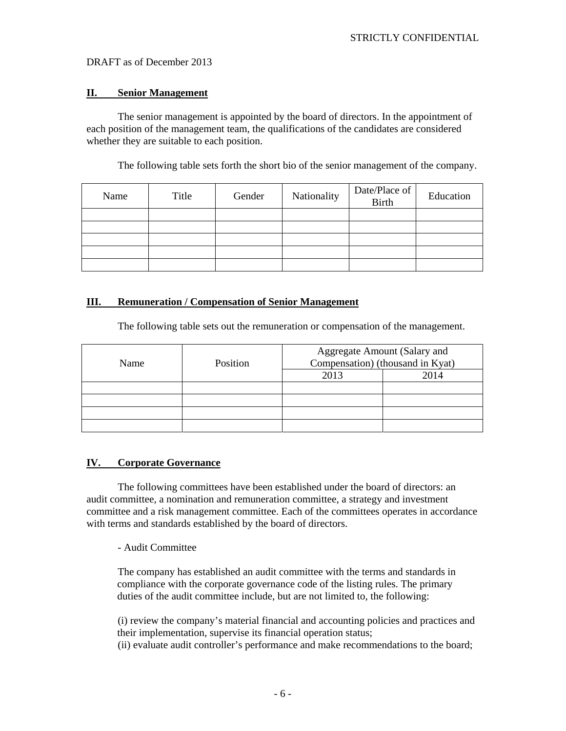#### **II. Senior Management**

 The senior management is appointed by the board of directors. In the appointment of each position of the management team, the qualifications of the candidates are considered whether they are suitable to each position.

The following table sets forth the short bio of the senior management of the company.

| Name | Title | Gender | Nationality | Date/Place of<br>Birth | Education |
|------|-------|--------|-------------|------------------------|-----------|
|      |       |        |             |                        |           |
|      |       |        |             |                        |           |
|      |       |        |             |                        |           |
|      |       |        |             |                        |           |
|      |       |        |             |                        |           |

### **III. Remuneration / Compensation of Senior Management**

The following table sets out the remuneration or compensation of the management.

| Name | Position | Aggregate Amount (Salary and<br>Compensation) (thousand in Kyat) |      |  |
|------|----------|------------------------------------------------------------------|------|--|
|      |          | 2013                                                             | 2014 |  |
|      |          |                                                                  |      |  |
|      |          |                                                                  |      |  |
|      |          |                                                                  |      |  |
|      |          |                                                                  |      |  |

#### **IV. Corporate Governance**

 The following committees have been established under the board of directors: an audit committee, a nomination and remuneration committee, a strategy and investment committee and a risk management committee. Each of the committees operates in accordance with terms and standards established by the board of directors.

#### - Audit Committee

The company has established an audit committee with the terms and standards in compliance with the corporate governance code of the listing rules. The primary duties of the audit committee include, but are not limited to, the following:

(i) review the company's material financial and accounting policies and practices and their implementation, supervise its financial operation status; (ii) evaluate audit controller's performance and make recommendations to the board;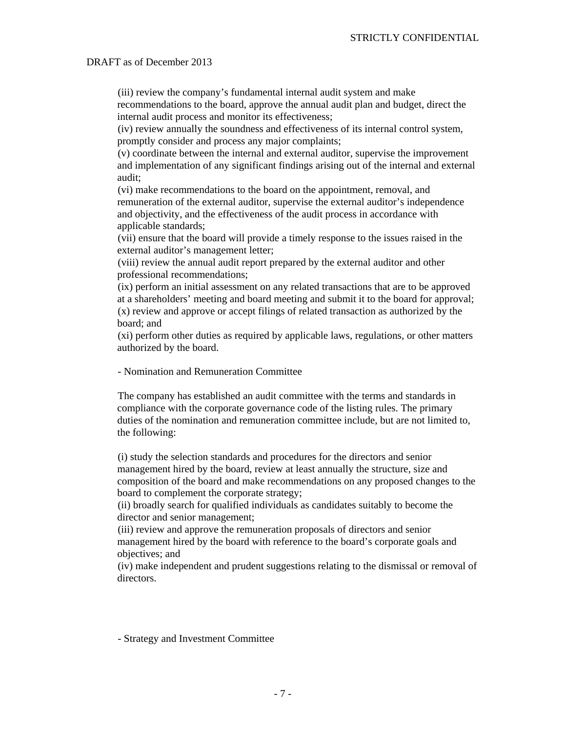(iii) review the company's fundamental internal audit system and make recommendations to the board, approve the annual audit plan and budget, direct the internal audit process and monitor its effectiveness;

(iv) review annually the soundness and effectiveness of its internal control system, promptly consider and process any major complaints;

(v) coordinate between the internal and external auditor, supervise the improvement and implementation of any significant findings arising out of the internal and external audit;

(vi) make recommendations to the board on the appointment, removal, and remuneration of the external auditor, supervise the external auditor's independence and objectivity, and the effectiveness of the audit process in accordance with applicable standards;

(vii) ensure that the board will provide a timely response to the issues raised in the external auditor's management letter;

(viii) review the annual audit report prepared by the external auditor and other professional recommendations;

(ix) perform an initial assessment on any related transactions that are to be approved at a shareholders' meeting and board meeting and submit it to the board for approval; (x) review and approve or accept filings of related transaction as authorized by the board; and

(xi) perform other duties as required by applicable laws, regulations, or other matters authorized by the board.

- Nomination and Remuneration Committee

The company has established an audit committee with the terms and standards in compliance with the corporate governance code of the listing rules. The primary duties of the nomination and remuneration committee include, but are not limited to, the following:

(i) study the selection standards and procedures for the directors and senior management hired by the board, review at least annually the structure, size and composition of the board and make recommendations on any proposed changes to the board to complement the corporate strategy;

(ii) broadly search for qualified individuals as candidates suitably to become the director and senior management;

(iii) review and approve the remuneration proposals of directors and senior management hired by the board with reference to the board's corporate goals and objectives; and

(iv) make independent and prudent suggestions relating to the dismissal or removal of directors.

- Strategy and Investment Committee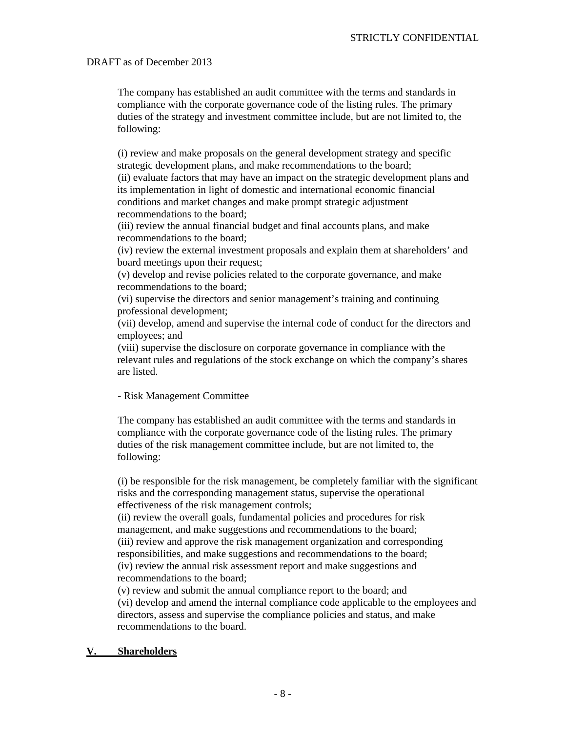The company has established an audit committee with the terms and standards in compliance with the corporate governance code of the listing rules. The primary duties of the strategy and investment committee include, but are not limited to, the following:

(i) review and make proposals on the general development strategy and specific strategic development plans, and make recommendations to the board;

(ii) evaluate factors that may have an impact on the strategic development plans and its implementation in light of domestic and international economic financial conditions and market changes and make prompt strategic adjustment recommendations to the board;

(iii) review the annual financial budget and final accounts plans, and make recommendations to the board;

(iv) review the external investment proposals and explain them at shareholders' and board meetings upon their request;

(v) develop and revise policies related to the corporate governance, and make recommendations to the board;

(vi) supervise the directors and senior management's training and continuing professional development;

(vii) develop, amend and supervise the internal code of conduct for the directors and employees; and

(viii) supervise the disclosure on corporate governance in compliance with the relevant rules and regulations of the stock exchange on which the company's shares are listed.

# - Risk Management Committee

The company has established an audit committee with the terms and standards in compliance with the corporate governance code of the listing rules. The primary duties of the risk management committee include, but are not limited to, the following:

(i) be responsible for the risk management, be completely familiar with the significant risks and the corresponding management status, supervise the operational effectiveness of the risk management controls;

(ii) review the overall goals, fundamental policies and procedures for risk management, and make suggestions and recommendations to the board; (iii) review and approve the risk management organization and corresponding responsibilities, and make suggestions and recommendations to the board; (iv) review the annual risk assessment report and make suggestions and recommendations to the board;

(v) review and submit the annual compliance report to the board; and (vi) develop and amend the internal compliance code applicable to the employees and directors, assess and supervise the compliance policies and status, and make recommendations to the board.

#### **V. Shareholders**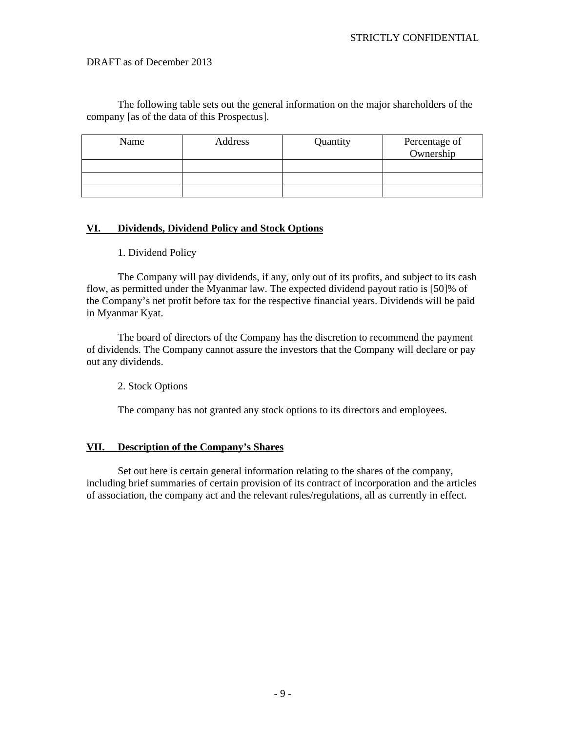The following table sets out the general information on the major shareholders of the company [as of the data of this Prospectus].

| Name | Address | Quantity | Percentage of<br>Ownership |
|------|---------|----------|----------------------------|
|      |         |          |                            |
|      |         |          |                            |
|      |         |          |                            |

# **VI. Dividends, Dividend Policy and Stock Options**

#### 1. Dividend Policy

 The Company will pay dividends, if any, only out of its profits, and subject to its cash flow, as permitted under the Myanmar law. The expected dividend payout ratio is [50]% of the Company's net profit before tax for the respective financial years. Dividends will be paid in Myanmar Kyat.

 The board of directors of the Company has the discretion to recommend the payment of dividends. The Company cannot assure the investors that the Company will declare or pay out any dividends.

2. Stock Options

The company has not granted any stock options to its directors and employees.

# **VII. Description of the Company's Shares**

 Set out here is certain general information relating to the shares of the company, including brief summaries of certain provision of its contract of incorporation and the articles of association, the company act and the relevant rules/regulations, all as currently in effect.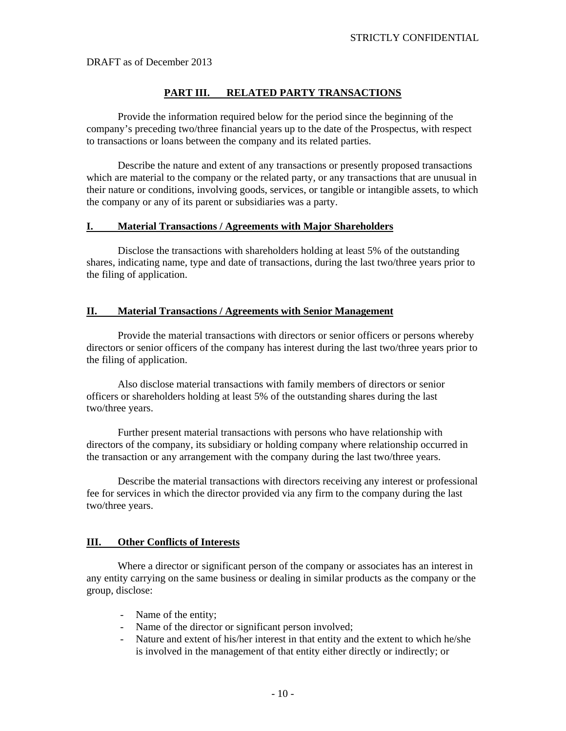#### **PART III. RELATED PARTY TRANSACTIONS**

 Provide the information required below for the period since the beginning of the company's preceding two/three financial years up to the date of the Prospectus, with respect to transactions or loans between the company and its related parties.

Describe the nature and extent of any transactions or presently proposed transactions which are material to the company or the related party, or any transactions that are unusual in their nature or conditions, involving goods, services, or tangible or intangible assets, to which the company or any of its parent or subsidiaries was a party.

#### **I. Material Transactions / Agreements with Major Shareholders**

Disclose the transactions with shareholders holding at least 5% of the outstanding shares, indicating name, type and date of transactions, during the last two/three years prior to the filing of application.

#### **II. Material Transactions / Agreements with Senior Management**

 Provide the material transactions with directors or senior officers or persons whereby directors or senior officers of the company has interest during the last two/three years prior to the filing of application.

 Also disclose material transactions with family members of directors or senior officers or shareholders holding at least 5% of the outstanding shares during the last two/three years.

 Further present material transactions with persons who have relationship with directors of the company, its subsidiary or holding company where relationship occurred in the transaction or any arrangement with the company during the last two/three years.

Describe the material transactions with directors receiving any interest or professional fee for services in which the director provided via any firm to the company during the last two/three years.

#### **III. Other Conflicts of Interests**

 Where a director or significant person of the company or associates has an interest in any entity carrying on the same business or dealing in similar products as the company or the group, disclose:

- Name of the entity;
- Name of the director or significant person involved;
- Nature and extent of his/her interest in that entity and the extent to which he/she is involved in the management of that entity either directly or indirectly; or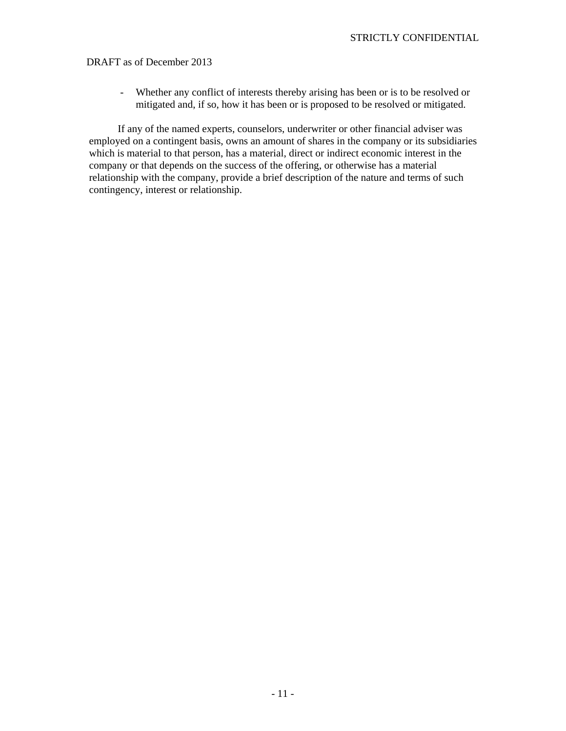- Whether any conflict of interests thereby arising has been or is to be resolved or mitigated and, if so, how it has been or is proposed to be resolved or mitigated.

If any of the named experts, counselors, underwriter or other financial adviser was employed on a contingent basis, owns an amount of shares in the company or its subsidiaries which is material to that person, has a material, direct or indirect economic interest in the company or that depends on the success of the offering, or otherwise has a material relationship with the company, provide a brief description of the nature and terms of such contingency, interest or relationship.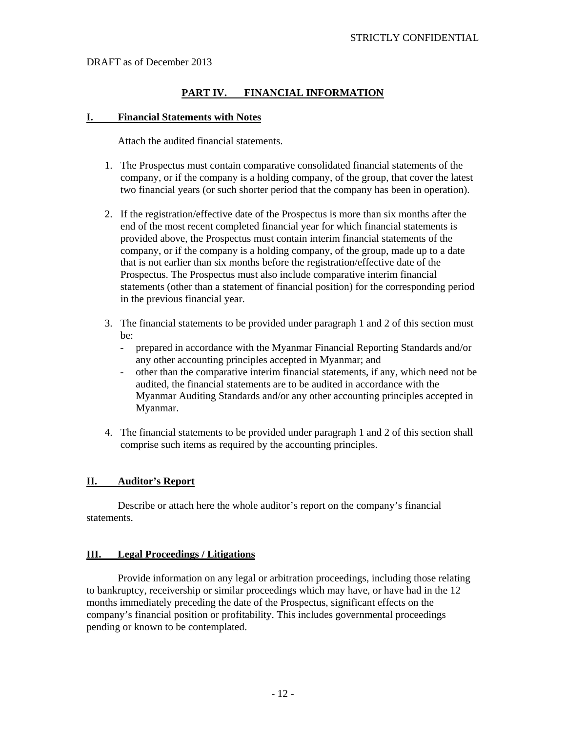# **PART IV. FINANCIAL INFORMATION**

#### **I. Financial Statements with Notes**

Attach the audited financial statements.

- 1. The Prospectus must contain comparative consolidated financial statements of the company, or if the company is a holding company, of the group, that cover the latest two financial years (or such shorter period that the company has been in operation).
- 2. If the registration/effective date of the Prospectus is more than six months after the end of the most recent completed financial year for which financial statements is provided above, the Prospectus must contain interim financial statements of the company, or if the company is a holding company, of the group, made up to a date that is not earlier than six months before the registration/effective date of the Prospectus. The Prospectus must also include comparative interim financial statements (other than a statement of financial position) for the corresponding period in the previous financial year.
- 3. The financial statements to be provided under paragraph 1 and 2 of this section must be:
	- prepared in accordance with the Myanmar Financial Reporting Standards and/or any other accounting principles accepted in Myanmar; and
	- other than the comparative interim financial statements, if any, which need not be audited, the financial statements are to be audited in accordance with the Myanmar Auditing Standards and/or any other accounting principles accepted in Myanmar.
- 4. The financial statements to be provided under paragraph 1 and 2 of this section shall comprise such items as required by the accounting principles.

#### **II. Auditor's Report**

 Describe or attach here the whole auditor's report on the company's financial statements.

#### **III. Legal Proceedings / Litigations**

 Provide information on any legal or arbitration proceedings, including those relating to bankruptcy, receivership or similar proceedings which may have, or have had in the 12 months immediately preceding the date of the Prospectus, significant effects on the company's financial position or profitability. This includes governmental proceedings pending or known to be contemplated.